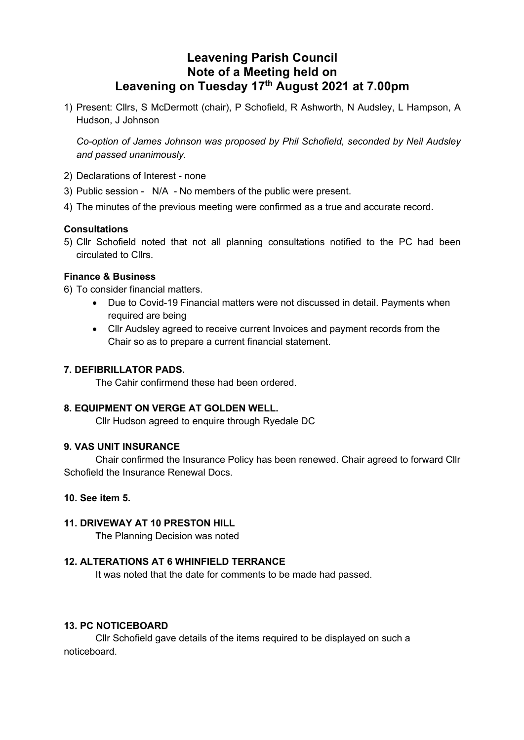# **Leavening Parish Council Note of a Meeting held on Leavening on Tuesday 17th August 2021 at 7.00pm**

1) Present: Cllrs, S McDermott (chair), P Schofield, R Ashworth, N Audsley, L Hampson, A Hudson, J Johnson

*Co-option of James Johnson was proposed by Phil Schofield, seconded by Neil Audsley and passed unanimously.*

- 2) Declarations of Interest none
- 3) Public session N/A No members of the public were present.
- 4) The minutes of the previous meeting were confirmed as a true and accurate record.

# **Consultations**

5) Cllr Schofield noted that not all planning consultations notified to the PC had been circulated to Cllrs.

# **Finance & Business**

- 6) To consider financial matters.
	- Due to Covid-19 Financial matters were not discussed in detail. Payments when required are being
	- Cllr Audsley agreed to receive current Invoices and payment records from the Chair so as to prepare a current financial statement.

## **7. DEFIBRILLATOR PADS.**

The Cahir confirmend these had been ordered.

#### **8. EQUIPMENT ON VERGE AT GOLDEN WELL.**

Cllr Hudson agreed to enquire through Ryedale DC

#### **9. VAS UNIT INSURANCE**

Chair confirmed the Insurance Policy has been renewed. Chair agreed to forward Cllr Schofield the Insurance Renewal Docs.

## **10. See item 5.**

# **11. DRIVEWAY AT 10 PRESTON HILL**

**T**he Planning Decision was noted

# **12. ALTERATIONS AT 6 WHINFIELD TERRANCE**

It was noted that the date for comments to be made had passed.

#### **13. PC NOTICEBOARD**

Cllr Schofield gave details of the items required to be displayed on such a noticeboard.